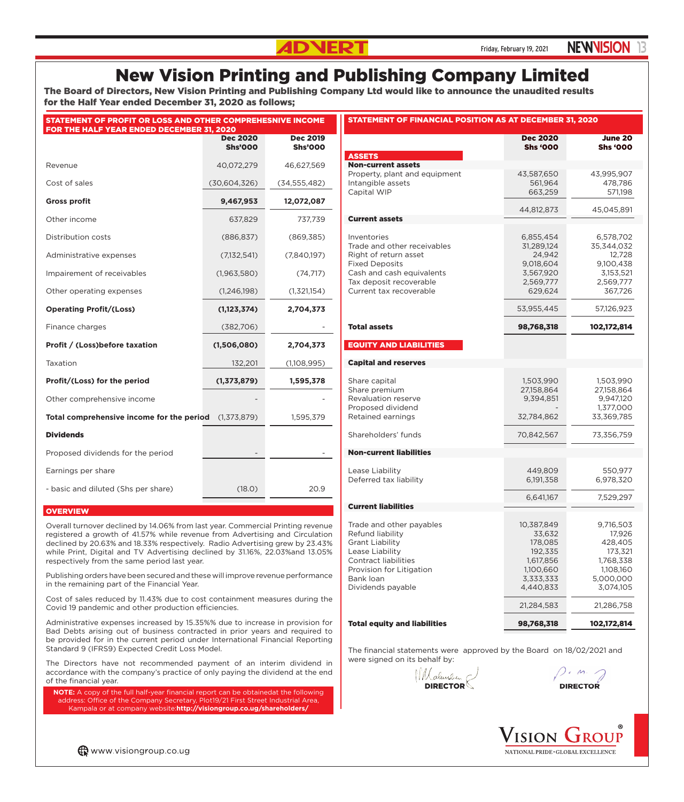## **ADNERT** Friday, February 19, 2021 **NEWVISION**

## New Vision Printing and Publishing Company Limited

The Board of Directors, New Vision Printing and Publishing Company Ltd would like to announce the unaudited results for the Half Year ended December 31, 2020 as follows;

| STATEMENT OF PROFIT OR LOSS AND OTHER COMPREHESNIVE INCOME<br><b>FOR THE HALF YEAR ENDED DECEMBER 31, 2020</b> |                                   |                                   |  |  |  |  |  |  |
|----------------------------------------------------------------------------------------------------------------|-----------------------------------|-----------------------------------|--|--|--|--|--|--|
|                                                                                                                | <b>Dec 2020</b><br><b>Shs'000</b> | <b>Dec 2019</b><br><b>Shs'000</b> |  |  |  |  |  |  |
| Revenue                                                                                                        | 40,072,279                        | 46,627,569                        |  |  |  |  |  |  |
| Cost of sales                                                                                                  | (30,604,326)                      | (34, 555, 482)                    |  |  |  |  |  |  |
| <b>Gross profit</b>                                                                                            | 9,467,953                         | 12,072,087                        |  |  |  |  |  |  |
| Other income                                                                                                   | 637,829                           | 737,739                           |  |  |  |  |  |  |
| Distribution costs                                                                                             | (886, 837)                        | (869, 385)                        |  |  |  |  |  |  |
| Administrative expenses                                                                                        | (7, 132, 541)                     | (7,840,197)                       |  |  |  |  |  |  |
| Impairement of receivables                                                                                     | (1,963,580)                       | (74, 717)                         |  |  |  |  |  |  |
| Other operating expenses                                                                                       | (1,246,198)                       | (1,321,154)                       |  |  |  |  |  |  |
| <b>Operating Profit/(Loss)</b>                                                                                 | (1, 123, 374)                     | 2,704,373                         |  |  |  |  |  |  |
| Finance charges                                                                                                | (382,706)                         |                                   |  |  |  |  |  |  |
| Profit / (Loss) before taxation                                                                                | (1,506,080)                       | 2,704,373                         |  |  |  |  |  |  |
| Taxation                                                                                                       | 132,201                           | (1,108,995)                       |  |  |  |  |  |  |
| Profit/(Loss) for the period                                                                                   | (1, 373, 879)                     | 1,595,378                         |  |  |  |  |  |  |
| Other comprehensive income                                                                                     |                                   |                                   |  |  |  |  |  |  |
| Total comprehensive income for the period                                                                      | (1, 373, 879)                     | 1,595,379                         |  |  |  |  |  |  |
| <b>Dividends</b>                                                                                               |                                   |                                   |  |  |  |  |  |  |
| Proposed dividends for the period                                                                              |                                   |                                   |  |  |  |  |  |  |
| Earnings per share                                                                                             |                                   |                                   |  |  |  |  |  |  |
| - basic and diluted (Shs per share)                                                                            | (18.0)                            | 20.9                              |  |  |  |  |  |  |

## **OVERVIEW**

Overall turnover declined by 14.06% from last year. Commercial Printing revenue registered a growth of 41.57% while revenue from Advertising and Circulation declined by 20.63% and 18.33% respectively. Radio Advertising grew by 23.43% while Print, Digital and TV Advertising declined by 31.16%, 22.03%and 13.05% respectively from the same period last year.

Publishing orders have been secured and these will improve revenue performance in the remaining part of the Financial Year.

Cost of sales reduced by 11.43% due to cost containment measures during the Covid 19 pandemic and other production efficiencies.

Administrative expenses increased by 15.35%% due to increase in provision for Bad Debts arising out of business contracted in prior years and required to be provided for in the current period under International Financial Reporting Standard 9 (IFRS9) Expected Credit Loss Model.

The Directors have not recommended payment of an interim dividend in accordance with the company's practice of only paying the dividend at the end of the financial year.

**NOTE:** A copy of the full half-year financial report can be obtainedat the following address: Office of the Company Secretary, Plot19/21 First Street Industrial Area, Kampala or at company website:**http://visiongroup.co.ug/shareholders/**

| <b>Dec 2020</b><br>June 20<br><b>Shs '000</b><br><b>Shs '000</b><br><b>ASSETS</b><br><b>Non-current assets</b><br>Property, plant and equipment<br>43,587,650<br>43,995,907<br>Intangible assets<br>561,964<br>478,786<br>Capital WIP<br>663,259<br>571,198<br>44,812,873<br>45,045,891<br><b>Current assets</b><br>Inventories<br>6,855,454<br>6,578,702<br>Trade and other receivables<br>31,289,124<br>35,344,032<br>Right of return asset<br>12,728<br>24,942<br><b>Fixed Deposits</b><br>9,018,604<br>9,100,438<br>Cash and cash equivalents<br>3,567,920<br>3,153,521<br>Tax deposit recoverable<br>2,569,777<br>2,569,777<br>Current tax recoverable<br>629,624<br>367,726<br>53,955,445<br>57,126,923<br><b>Total assets</b><br>98,768,318<br>102,172,814<br><b>EQUITY AND LIABILITIES</b><br><b>Capital and reserves</b><br>Share capital<br>1,503,990<br>1,503,990<br>Share premium<br>27,158,864<br>27,158,864<br>Revaluation reserve<br>9,394,851<br>9,947,120<br>Proposed dividend<br>1,377,000<br>33,369,785<br>Retained earnings<br>32,784,862<br>Shareholders' funds<br>70,842,567<br>73,356,759<br><b>Non-current liabilities</b><br>Lease Liability<br>449,809<br>550.977<br>Deferred tax liability<br>6,191,358<br>6,978,320<br>6,641,167<br>7,529,297<br><b>Current liabilities</b><br>9,716,503<br>Trade and other payables<br>10,387,849<br>Refund liability<br>33,632<br>17,926<br>428,405<br><b>Grant Liability</b><br>178,085<br>192,335<br>173,321<br>Lease Liability<br><b>Contract liabilities</b><br>1,617,856<br>1,768,338<br>Provision for Litigation<br>1,100,660<br>1,108,160<br>Bank loan<br>3,333,333<br>5,000,000<br>Dividends payable<br>4,440,833<br>3,074,105<br>21,284,583<br>21,286,758<br><b>Total equity and liabilities</b><br>98,768,318<br>102,172,814 | <b>STATEMENT OF FINANCIAL POSITION AS AT DECEMBER 31, 2020</b> |  |  |  |  |  |  |  |
|------------------------------------------------------------------------------------------------------------------------------------------------------------------------------------------------------------------------------------------------------------------------------------------------------------------------------------------------------------------------------------------------------------------------------------------------------------------------------------------------------------------------------------------------------------------------------------------------------------------------------------------------------------------------------------------------------------------------------------------------------------------------------------------------------------------------------------------------------------------------------------------------------------------------------------------------------------------------------------------------------------------------------------------------------------------------------------------------------------------------------------------------------------------------------------------------------------------------------------------------------------------------------------------------------------------------------------------------------------------------------------------------------------------------------------------------------------------------------------------------------------------------------------------------------------------------------------------------------------------------------------------------------------------------------------------------------------------------------------------------------------------------------------------------------|----------------------------------------------------------------|--|--|--|--|--|--|--|
|                                                                                                                                                                                                                                                                                                                                                                                                                                                                                                                                                                                                                                                                                                                                                                                                                                                                                                                                                                                                                                                                                                                                                                                                                                                                                                                                                                                                                                                                                                                                                                                                                                                                                                                                                                                                      |                                                                |  |  |  |  |  |  |  |
|                                                                                                                                                                                                                                                                                                                                                                                                                                                                                                                                                                                                                                                                                                                                                                                                                                                                                                                                                                                                                                                                                                                                                                                                                                                                                                                                                                                                                                                                                                                                                                                                                                                                                                                                                                                                      |                                                                |  |  |  |  |  |  |  |
|                                                                                                                                                                                                                                                                                                                                                                                                                                                                                                                                                                                                                                                                                                                                                                                                                                                                                                                                                                                                                                                                                                                                                                                                                                                                                                                                                                                                                                                                                                                                                                                                                                                                                                                                                                                                      |                                                                |  |  |  |  |  |  |  |
|                                                                                                                                                                                                                                                                                                                                                                                                                                                                                                                                                                                                                                                                                                                                                                                                                                                                                                                                                                                                                                                                                                                                                                                                                                                                                                                                                                                                                                                                                                                                                                                                                                                                                                                                                                                                      |                                                                |  |  |  |  |  |  |  |
|                                                                                                                                                                                                                                                                                                                                                                                                                                                                                                                                                                                                                                                                                                                                                                                                                                                                                                                                                                                                                                                                                                                                                                                                                                                                                                                                                                                                                                                                                                                                                                                                                                                                                                                                                                                                      |                                                                |  |  |  |  |  |  |  |
|                                                                                                                                                                                                                                                                                                                                                                                                                                                                                                                                                                                                                                                                                                                                                                                                                                                                                                                                                                                                                                                                                                                                                                                                                                                                                                                                                                                                                                                                                                                                                                                                                                                                                                                                                                                                      |                                                                |  |  |  |  |  |  |  |
|                                                                                                                                                                                                                                                                                                                                                                                                                                                                                                                                                                                                                                                                                                                                                                                                                                                                                                                                                                                                                                                                                                                                                                                                                                                                                                                                                                                                                                                                                                                                                                                                                                                                                                                                                                                                      |                                                                |  |  |  |  |  |  |  |
|                                                                                                                                                                                                                                                                                                                                                                                                                                                                                                                                                                                                                                                                                                                                                                                                                                                                                                                                                                                                                                                                                                                                                                                                                                                                                                                                                                                                                                                                                                                                                                                                                                                                                                                                                                                                      |                                                                |  |  |  |  |  |  |  |
|                                                                                                                                                                                                                                                                                                                                                                                                                                                                                                                                                                                                                                                                                                                                                                                                                                                                                                                                                                                                                                                                                                                                                                                                                                                                                                                                                                                                                                                                                                                                                                                                                                                                                                                                                                                                      |                                                                |  |  |  |  |  |  |  |
|                                                                                                                                                                                                                                                                                                                                                                                                                                                                                                                                                                                                                                                                                                                                                                                                                                                                                                                                                                                                                                                                                                                                                                                                                                                                                                                                                                                                                                                                                                                                                                                                                                                                                                                                                                                                      |                                                                |  |  |  |  |  |  |  |
|                                                                                                                                                                                                                                                                                                                                                                                                                                                                                                                                                                                                                                                                                                                                                                                                                                                                                                                                                                                                                                                                                                                                                                                                                                                                                                                                                                                                                                                                                                                                                                                                                                                                                                                                                                                                      |                                                                |  |  |  |  |  |  |  |
|                                                                                                                                                                                                                                                                                                                                                                                                                                                                                                                                                                                                                                                                                                                                                                                                                                                                                                                                                                                                                                                                                                                                                                                                                                                                                                                                                                                                                                                                                                                                                                                                                                                                                                                                                                                                      |                                                                |  |  |  |  |  |  |  |
|                                                                                                                                                                                                                                                                                                                                                                                                                                                                                                                                                                                                                                                                                                                                                                                                                                                                                                                                                                                                                                                                                                                                                                                                                                                                                                                                                                                                                                                                                                                                                                                                                                                                                                                                                                                                      |                                                                |  |  |  |  |  |  |  |
|                                                                                                                                                                                                                                                                                                                                                                                                                                                                                                                                                                                                                                                                                                                                                                                                                                                                                                                                                                                                                                                                                                                                                                                                                                                                                                                                                                                                                                                                                                                                                                                                                                                                                                                                                                                                      |                                                                |  |  |  |  |  |  |  |
|                                                                                                                                                                                                                                                                                                                                                                                                                                                                                                                                                                                                                                                                                                                                                                                                                                                                                                                                                                                                                                                                                                                                                                                                                                                                                                                                                                                                                                                                                                                                                                                                                                                                                                                                                                                                      |                                                                |  |  |  |  |  |  |  |
|                                                                                                                                                                                                                                                                                                                                                                                                                                                                                                                                                                                                                                                                                                                                                                                                                                                                                                                                                                                                                                                                                                                                                                                                                                                                                                                                                                                                                                                                                                                                                                                                                                                                                                                                                                                                      |                                                                |  |  |  |  |  |  |  |
|                                                                                                                                                                                                                                                                                                                                                                                                                                                                                                                                                                                                                                                                                                                                                                                                                                                                                                                                                                                                                                                                                                                                                                                                                                                                                                                                                                                                                                                                                                                                                                                                                                                                                                                                                                                                      |                                                                |  |  |  |  |  |  |  |
|                                                                                                                                                                                                                                                                                                                                                                                                                                                                                                                                                                                                                                                                                                                                                                                                                                                                                                                                                                                                                                                                                                                                                                                                                                                                                                                                                                                                                                                                                                                                                                                                                                                                                                                                                                                                      |                                                                |  |  |  |  |  |  |  |
|                                                                                                                                                                                                                                                                                                                                                                                                                                                                                                                                                                                                                                                                                                                                                                                                                                                                                                                                                                                                                                                                                                                                                                                                                                                                                                                                                                                                                                                                                                                                                                                                                                                                                                                                                                                                      |                                                                |  |  |  |  |  |  |  |
|                                                                                                                                                                                                                                                                                                                                                                                                                                                                                                                                                                                                                                                                                                                                                                                                                                                                                                                                                                                                                                                                                                                                                                                                                                                                                                                                                                                                                                                                                                                                                                                                                                                                                                                                                                                                      |                                                                |  |  |  |  |  |  |  |
|                                                                                                                                                                                                                                                                                                                                                                                                                                                                                                                                                                                                                                                                                                                                                                                                                                                                                                                                                                                                                                                                                                                                                                                                                                                                                                                                                                                                                                                                                                                                                                                                                                                                                                                                                                                                      |                                                                |  |  |  |  |  |  |  |
|                                                                                                                                                                                                                                                                                                                                                                                                                                                                                                                                                                                                                                                                                                                                                                                                                                                                                                                                                                                                                                                                                                                                                                                                                                                                                                                                                                                                                                                                                                                                                                                                                                                                                                                                                                                                      |                                                                |  |  |  |  |  |  |  |
|                                                                                                                                                                                                                                                                                                                                                                                                                                                                                                                                                                                                                                                                                                                                                                                                                                                                                                                                                                                                                                                                                                                                                                                                                                                                                                                                                                                                                                                                                                                                                                                                                                                                                                                                                                                                      |                                                                |  |  |  |  |  |  |  |
|                                                                                                                                                                                                                                                                                                                                                                                                                                                                                                                                                                                                                                                                                                                                                                                                                                                                                                                                                                                                                                                                                                                                                                                                                                                                                                                                                                                                                                                                                                                                                                                                                                                                                                                                                                                                      |                                                                |  |  |  |  |  |  |  |
|                                                                                                                                                                                                                                                                                                                                                                                                                                                                                                                                                                                                                                                                                                                                                                                                                                                                                                                                                                                                                                                                                                                                                                                                                                                                                                                                                                                                                                                                                                                                                                                                                                                                                                                                                                                                      |                                                                |  |  |  |  |  |  |  |
|                                                                                                                                                                                                                                                                                                                                                                                                                                                                                                                                                                                                                                                                                                                                                                                                                                                                                                                                                                                                                                                                                                                                                                                                                                                                                                                                                                                                                                                                                                                                                                                                                                                                                                                                                                                                      |                                                                |  |  |  |  |  |  |  |
|                                                                                                                                                                                                                                                                                                                                                                                                                                                                                                                                                                                                                                                                                                                                                                                                                                                                                                                                                                                                                                                                                                                                                                                                                                                                                                                                                                                                                                                                                                                                                                                                                                                                                                                                                                                                      |                                                                |  |  |  |  |  |  |  |
|                                                                                                                                                                                                                                                                                                                                                                                                                                                                                                                                                                                                                                                                                                                                                                                                                                                                                                                                                                                                                                                                                                                                                                                                                                                                                                                                                                                                                                                                                                                                                                                                                                                                                                                                                                                                      |                                                                |  |  |  |  |  |  |  |
|                                                                                                                                                                                                                                                                                                                                                                                                                                                                                                                                                                                                                                                                                                                                                                                                                                                                                                                                                                                                                                                                                                                                                                                                                                                                                                                                                                                                                                                                                                                                                                                                                                                                                                                                                                                                      |                                                                |  |  |  |  |  |  |  |
|                                                                                                                                                                                                                                                                                                                                                                                                                                                                                                                                                                                                                                                                                                                                                                                                                                                                                                                                                                                                                                                                                                                                                                                                                                                                                                                                                                                                                                                                                                                                                                                                                                                                                                                                                                                                      |                                                                |  |  |  |  |  |  |  |
|                                                                                                                                                                                                                                                                                                                                                                                                                                                                                                                                                                                                                                                                                                                                                                                                                                                                                                                                                                                                                                                                                                                                                                                                                                                                                                                                                                                                                                                                                                                                                                                                                                                                                                                                                                                                      |                                                                |  |  |  |  |  |  |  |
|                                                                                                                                                                                                                                                                                                                                                                                                                                                                                                                                                                                                                                                                                                                                                                                                                                                                                                                                                                                                                                                                                                                                                                                                                                                                                                                                                                                                                                                                                                                                                                                                                                                                                                                                                                                                      |                                                                |  |  |  |  |  |  |  |
|                                                                                                                                                                                                                                                                                                                                                                                                                                                                                                                                                                                                                                                                                                                                                                                                                                                                                                                                                                                                                                                                                                                                                                                                                                                                                                                                                                                                                                                                                                                                                                                                                                                                                                                                                                                                      |                                                                |  |  |  |  |  |  |  |
|                                                                                                                                                                                                                                                                                                                                                                                                                                                                                                                                                                                                                                                                                                                                                                                                                                                                                                                                                                                                                                                                                                                                                                                                                                                                                                                                                                                                                                                                                                                                                                                                                                                                                                                                                                                                      |                                                                |  |  |  |  |  |  |  |
|                                                                                                                                                                                                                                                                                                                                                                                                                                                                                                                                                                                                                                                                                                                                                                                                                                                                                                                                                                                                                                                                                                                                                                                                                                                                                                                                                                                                                                                                                                                                                                                                                                                                                                                                                                                                      |                                                                |  |  |  |  |  |  |  |
|                                                                                                                                                                                                                                                                                                                                                                                                                                                                                                                                                                                                                                                                                                                                                                                                                                                                                                                                                                                                                                                                                                                                                                                                                                                                                                                                                                                                                                                                                                                                                                                                                                                                                                                                                                                                      |                                                                |  |  |  |  |  |  |  |
|                                                                                                                                                                                                                                                                                                                                                                                                                                                                                                                                                                                                                                                                                                                                                                                                                                                                                                                                                                                                                                                                                                                                                                                                                                                                                                                                                                                                                                                                                                                                                                                                                                                                                                                                                                                                      |                                                                |  |  |  |  |  |  |  |
|                                                                                                                                                                                                                                                                                                                                                                                                                                                                                                                                                                                                                                                                                                                                                                                                                                                                                                                                                                                                                                                                                                                                                                                                                                                                                                                                                                                                                                                                                                                                                                                                                                                                                                                                                                                                      |                                                                |  |  |  |  |  |  |  |
|                                                                                                                                                                                                                                                                                                                                                                                                                                                                                                                                                                                                                                                                                                                                                                                                                                                                                                                                                                                                                                                                                                                                                                                                                                                                                                                                                                                                                                                                                                                                                                                                                                                                                                                                                                                                      |                                                                |  |  |  |  |  |  |  |
|                                                                                                                                                                                                                                                                                                                                                                                                                                                                                                                                                                                                                                                                                                                                                                                                                                                                                                                                                                                                                                                                                                                                                                                                                                                                                                                                                                                                                                                                                                                                                                                                                                                                                                                                                                                                      |                                                                |  |  |  |  |  |  |  |
|                                                                                                                                                                                                                                                                                                                                                                                                                                                                                                                                                                                                                                                                                                                                                                                                                                                                                                                                                                                                                                                                                                                                                                                                                                                                                                                                                                                                                                                                                                                                                                                                                                                                                                                                                                                                      |                                                                |  |  |  |  |  |  |  |
|                                                                                                                                                                                                                                                                                                                                                                                                                                                                                                                                                                                                                                                                                                                                                                                                                                                                                                                                                                                                                                                                                                                                                                                                                                                                                                                                                                                                                                                                                                                                                                                                                                                                                                                                                                                                      |                                                                |  |  |  |  |  |  |  |
|                                                                                                                                                                                                                                                                                                                                                                                                                                                                                                                                                                                                                                                                                                                                                                                                                                                                                                                                                                                                                                                                                                                                                                                                                                                                                                                                                                                                                                                                                                                                                                                                                                                                                                                                                                                                      |                                                                |  |  |  |  |  |  |  |

The financial statements were approved by the Board on 18/02/2021 and were signed on its behalf by:

Maluneur Perrieur



Www.visiongroup.co.ug